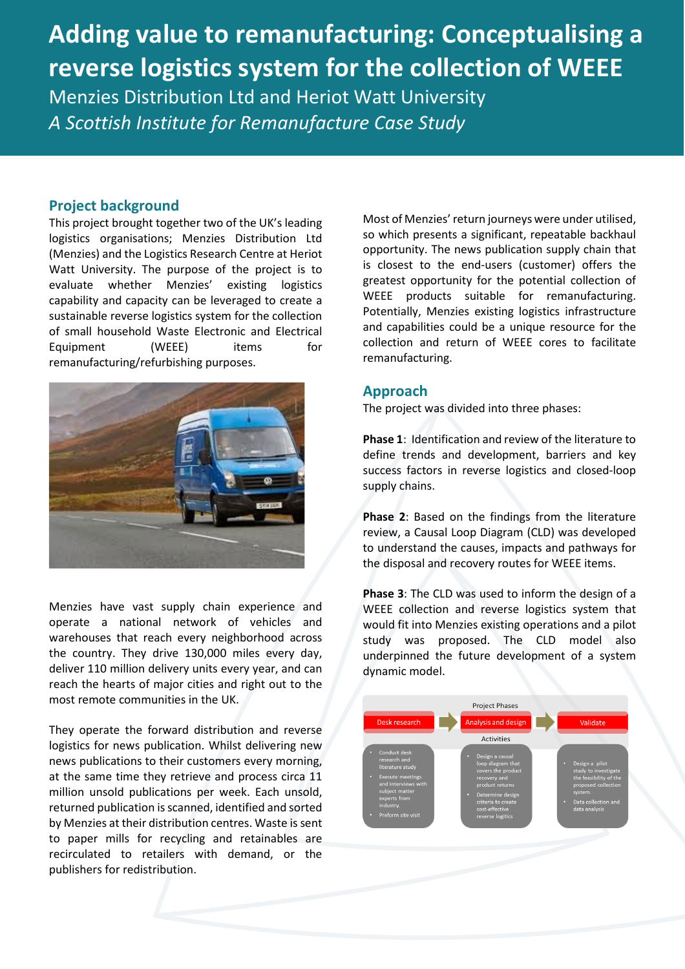# **Adding value to remanufacturing: Conceptualising a reverse logistics system for the collection of WEEE** Menzies Distribution Ltd and Heriot Watt University

*A Scottish Institute for Remanufacture Case Study* 

### **Project background**

This project brought together two of the UK's leading logistics organisations; Menzies Distribution Ltd (Menzies) and the Logistics Research Centre at Heriot Watt University. The purpose of the project is to evaluate whether Menzies' existing logistics capability and capacity can be leveraged to create a sustainable reverse logistics system for the collection of small household Waste Electronic and Electrical Equipment (WEEE) items for remanufacturing/refurbishing purposes.



Menzies have vast supply chain experience and operate a national network of vehicles and warehouses that reach every neighborhood across the country. They drive 130,000 miles every day, deliver 110 million delivery units every year, and can reach the hearts of major cities and right out to the most remote communities in the UK.

They operate the forward distribution and reverse logistics for news publication. Whilst delivering new news publications to their customers every morning, at the same time they retrieve and process circa 11 million unsold publications per week. Each unsold, returned publication is scanned, identified and sorted by Menzies at their distribution centres. Waste is sent to paper mills for recycling and retainables are recirculated to retailers with demand, or the publishers for redistribution.

Most of Menzies' return journeys were under utilised, so which presents a significant, repeatable backhaul opportunity. The news publication supply chain that is closest to the end-users (customer) offers the greatest opportunity for the potential collection of WEEE products suitable for remanufacturing. Potentially, Menzies existing logistics infrastructure and capabilities could be a unique resource for the collection and return of WEEE cores to facilitate remanufacturing.

## **Approach**

The project was divided into three phases:

**Phase 1**: Identification and review of the literature to define trends and development, barriers and key success factors in reverse logistics and closed-loop supply chains.

**Phase 2**: Based on the findings from the literature review, a Causal Loop Diagram (CLD) was developed to understand the causes, impacts and pathways for the disposal and recovery routes for WEEE items.

**Phase 3**: The CLD was used to inform the design of a WEEE collection and reverse logistics system that would fit into Menzies existing operations and a pilot study was proposed. The CLD model also underpinned the future development of a system dynamic model.